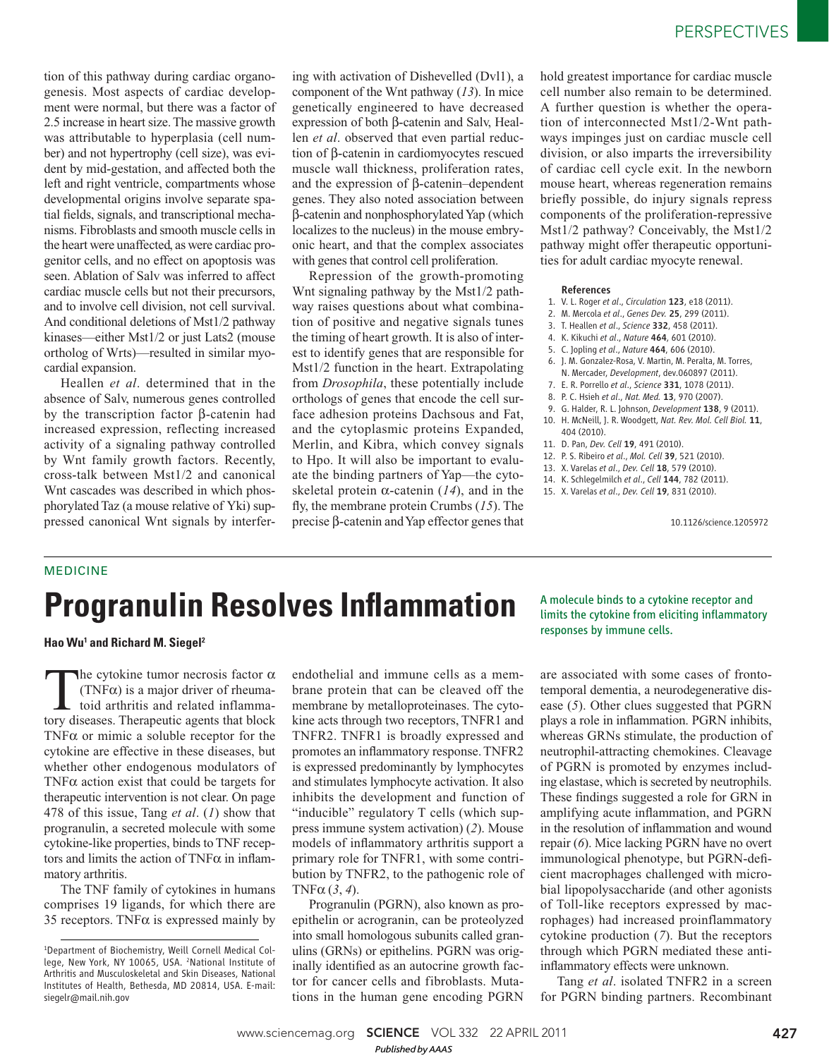tion of this pathway during cardiac organogenesis. Most aspects of cardiac development were normal, but there was a factor of 2.5 increase in heart size. The massive growth was attributable to hyperplasia (cell number) and not hypertrophy (cell size), was evident by mid-gestation, and affected both the left and right ventricle, compartments whose developmental origins involve separate spatial fields, signals, and transcriptional mechanisms. Fibroblasts and smooth muscle cells in the heart were unaffected, as were cardiac progenitor cells, and no effect on apoptosis was seen. Ablation of Salv was inferred to affect cardiac muscle cells but not their precursors, and to involve cell division, not cell survival. And conditional deletions of Mst1/2 pathway kinases—either Mst1/2 or just Lats2 (mouse ortholog of Wrts)—resulted in similar myocardial expansion.

Heallen *et al*. determined that in the absence of Salv, numerous genes controlled by the transcription factor β-catenin had increased expression, reflecting increased activity of a signaling pathway controlled by Wnt family growth factors. Recently, cross-talk between Mst1/2 and canonical Wnt cascades was described in which phosphorylated Taz (a mouse relative of Yki) suppressed canonical Wnt signals by interfer-

ing with activation of Dishevelled (Dvl1), a component of the Wnt pathway (13). In mice genetically engineered to have decreased expression of both β-catenin and Salv, Heallen *et al*. observed that even partial reduction of β-catenin in cardiomyocytes rescued muscle wall thickness, proliferation rates, and the expression of β-catenin–dependent genes. They also noted association between β-catenin and nonphosphorylated Yap (which localizes to the nucleus) in the mouse embryonic heart, and that the complex associates with genes that control cell proliferation.

Repression of the growth-promoting Wnt signaling pathway by the Mst1/2 pathway raises questions about what combination of positive and negative signals tunes the timing of heart growth. It is also of interest to identify genes that are responsible for Mst1/2 function in the heart. Extrapolating from *Drosophila*, these potentially include orthologs of genes that encode the cell surface adhesion proteins Dachsous and Fat, and the cytoplasmic proteins Expanded, Merlin, and Kibra, which convey signals to Hpo. It will also be important to evaluate the binding partners of Yap—the cytoskeletal protein  $\alpha$ -catenin (14), and in the fly, the membrane protein Crumbs (15). The precise β-catenin and Yap effector genes that hold greatest importance for cardiac muscle cell number also remain to be determined. A further question is whether the operation of interconnected Mst1/2-Wnt pathways impinges just on cardiac muscle cell division, or also imparts the irreversibility of cardiac cell cycle exit. In the newborn mouse heart, whereas regeneration remains briefly possible, do injury signals repress components of the proliferation-repressive Mst1/2 pathway? Conceivably, the Mst1/2 pathway might offer therapeutic opportunities for adult cardiac myocyte renewal.

## References

- 1. V. L. Roger *et al*., *Circulation* 123, e18 (2011).
- 2. M. Mercola *et al*., *Genes Dev.* 25, 299 (2011).
- 3. T. Heallen *et al*., *Science* 332, 458 (2011).
- 4. K. Kikuchi *et al*., *Nature* 464, 601 (2010).
- 5. C. Jopling *et al*., *Nature* 464, 606 (2010).
- 6. J. M. Gonzalez-Rosa, V. Martin, M. Peralta, M. Torres, N. Mercader, *Development*, dev.060897 (2011).
- 7. E. R. Porrello *et al*., *Science* 331, 1078 (2011).
- 8. P. C. Hsieh *et al*., *Nat. Med.* 13, 970 (2007).
- 9. G. Halder, R. L. Johnson, *Development* 138, 9 (2011).
- 10. H. McNeill, J. R. Woodgett, *Nat. Rev. Mol. Cell Biol.* 11, 404 (2010).
- 11. D. Pan, *Dev. Cell* 19, 491 (2010).
- 12. P. S. Ribeiro *et al*., *Mol. Cell* 39, 521 (2010).
- 13. X. Varelas *et al*., *Dev. Cell* 18, 579 (2010).
- 14. K. Schlegelmilch *et al*., *Cell* 144, 782 (2011).
- 15. X. Varelas *et al*., *Dev. Cell* 19, 831 (2010).

10.1126/science.1205972

## MEDICINE

## **Progranulin Resolves Inflammation**

**Hao Wu<sup>1</sup> and Richard M. Siegel<sup>2</sup>** 

The cytokine tumor necrosis factor  $\alpha$  (TNF $\alpha$ ) is a major driver of rheumatory diseases. Therapeutic agents that block The cytokine tumor necrosis factor  $\alpha$ (TNF $\alpha$ ) is a major driver of rheumatoid arthritis and related inflamma-TNF $\alpha$  or mimic a soluble receptor for the cytokine are effective in these diseases, but whether other endogenous modulators of TNF $\alpha$  action exist that could be targets for therapeutic intervention is not clear. On page 478 of this issue, Tang *et al*. ( *1*) show that progranulin, a secreted molecule with some cytokine-like properties, binds to TNF receptors and limits the action of  $TNF\alpha$  in inflammatory arthritis.

The TNF family of cytokines in humans comprises 19 ligands, for which there are 35 receptors. TNF $\alpha$  is expressed mainly by endothelial and immune cells as a membrane protein that can be cleaved off the membrane by metalloproteinases. The cytokine acts through two receptors, TNFR1 and TNFR2. TNFR1 is broadly expressed and promotes an inflammatory response. TNFR2 is expressed predominantly by lymphocytes and stimulates lymphocyte activation. It also inhibits the development and function of "inducible" regulatory T cells (which suppress immune system activation) ( *2*). Mouse models of inflammatory arthritis support a primary role for TNFR1, with some contribution by TNFR2, to the pathogenic role of TNF $\alpha$  (3, 4).

Progranulin (PGRN), also known as proepithelin or acrogranin, can be proteolyzed into small homologous subunits called granulins (GRNs) or epithelins. PGRN was originally identified as an autocrine growth factor for cancer cells and fibroblasts. Mutations in the human gene encoding PGRN

A molecule binds to a cytokine receptor and limits the cytokine from eliciting inflammatory responses by immune cells.

are associated with some cases of frontotemporal dementia, a neurodegenerative disease (5). Other clues suggested that PGRN plays a role in inflammation. PGRN inhibits, whereas GRNs stimulate, the production of neutrophil-attracting chemokines. Cleavage of PGRN is promoted by enzymes including elastase, which is secreted by neutrophils. These findings suggested a role for GRN in amplifying acute inflammation, and PGRN in the resolution of inflammation and wound repair (6). Mice lacking PGRN have no overt immunological phenotype, but PGRN-deficient macrophages challenged with microbial lipopolysaccharide (and other agonists of Toll-like receptors expressed by macrophages) had increased proinflammatory cytokine production (7). But the receptors through which PGRN mediated these antiinflammatory effects were unknown.

Tang *et al*. isolated TNFR2 in a screen for PGRN binding partners. Recombinant

www.sciencemag.org **SCIENCE** VOL 332 22 APRIL 2011 427 *Published byAAAS*

<sup>1</sup>Department of Biochemistry, Weill Cornell Medical College, New York, NY 10065, USA. <sup>2</sup>National Institute of Arthritis and Musculoskeletal and Skin Diseases, National Institutes of Health, Bethesda, MD 20814, USA. E-mail: siegelr@mail.nih.gov